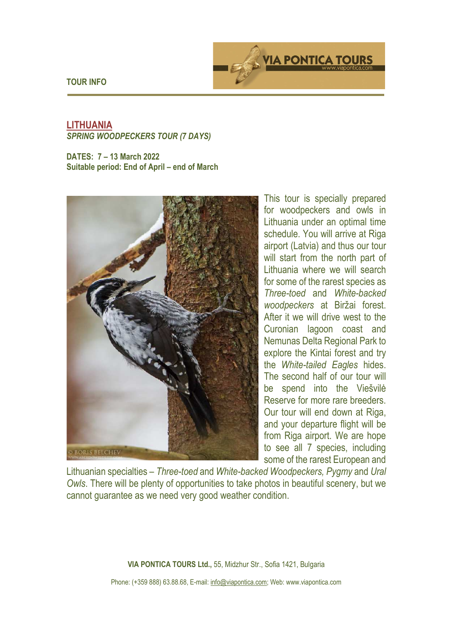**TOUR INFO** 



# **LITHUANIA**  *SPRING WOODPECKERS TOUR (7 DAYS)*

**DATES: 7 – 13 March 2022 Suitable period: End of April – end of March** 



This tour is specially prepared for woodpeckers and owls in Lithuania under an optimal time schedule. You will arrive at Riga airport (Latvia) and thus our tour will start from the north part of Lithuania where we will search for some of the rarest species as *Three-toed* and *White-backed woodpeckers* at Biržai forest. After it we will drive west to the Curonian lagoon coast and Nemunas Delta Regional Park to explore the Kintai forest and try the *White-tailed Eagles* hides. The second half of our tour will be spend into the Viešvilė Reserve for more rare breeders. Our tour will end down at Riga, and your departure flight will be from Riga airport. We are hope to see all 7 species, including some of the rarest European and

Lithuanian specialties – *Three-toed* and *White-backed Woodpeckers, Pygmy* and *Ural Owls*. There will be plenty of opportunities to take photos in beautiful scenery, but we cannot guarantee as we need very good weather condition.

**VIA PONTICA TOURS Ltd.,** 55, Midzhur Str., Sofia 1421, Bulgaria